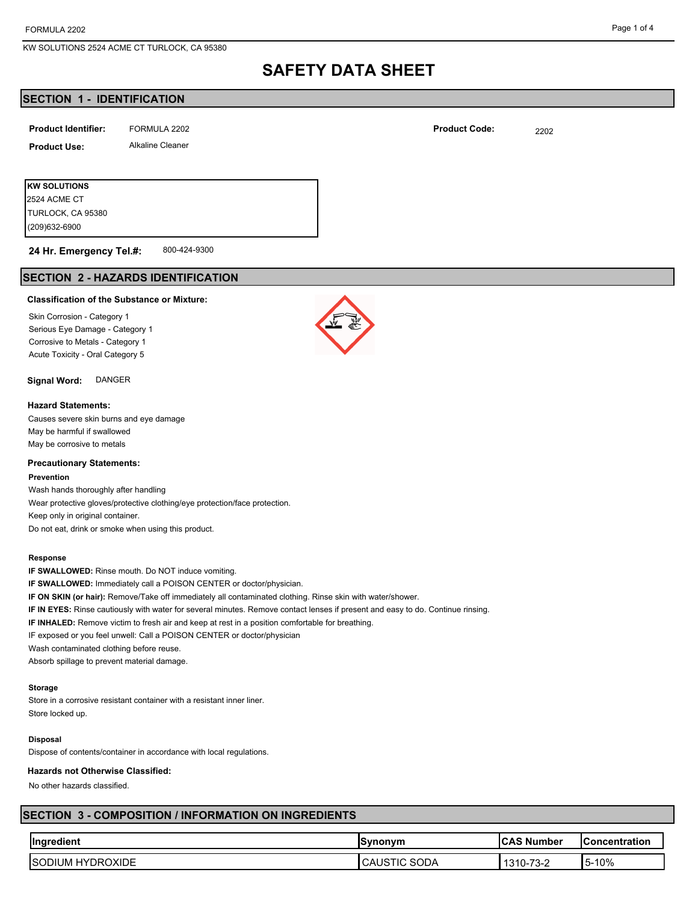(209)632-6900 TURLOCK, CA 95380 2524 ACME CT

# **SAFETY DATA SHEET**

# **SECTION 1 - IDENTIFICATION**

| <b>Product Identifier:</b> | FORMULA 2202            | <b>Product Code:</b> | 2202 |
|----------------------------|-------------------------|----------------------|------|
| <b>Product Use:</b>        | <b>Alkaline Cleaner</b> |                      |      |
|                            |                         |                      |      |
| <b>KW SOLUTIONS</b>        |                         |                      |      |

800-424-9300 **24 Hr. Emergency Tel.#:**

# **SECTION 2 - HAZARDS IDENTIFICATION**

#### **Classification of the Substance or Mixture:**

Skin Corrosion - Category 1 Serious Eye Damage - Category 1 Corrosive to Metals - Category 1 Acute Toxicity - Oral Category 5

## **Signal Word:** DANGER

### **Hazard Statements:**

Causes severe skin burns and eye damage May be harmful if swallowed May be corrosive to metals

## **Precautionary Statements:**

#### **Prevention**

Wash hands thoroughly after handling Wear protective gloves/protective clothing/eye protection/face protection. Keep only in original container. Do not eat, drink or smoke when using this product.

### **Response**

**IF SWALLOWED:** Rinse mouth. Do NOT induce vomiting.

**IF SWALLOWED:** Immediately call a POISON CENTER or doctor/physician.

**IF ON SKIN (or hair):** Remove/Take off immediately all contaminated clothing. Rinse skin with water/shower.

**IF IN EYES:** Rinse cautiously with water for several minutes. Remove contact lenses if present and easy to do. Continue rinsing.

**IF INHALED:** Remove victim to fresh air and keep at rest in a position comfortable for breathing.

IF exposed or you feel unwell: Call a POISON CENTER or doctor/physician

Wash contaminated clothing before reuse.

Absorb spillage to prevent material damage.

## **Storage**

Store in a corrosive resistant container with a resistant inner liner. Store locked up.

## **Disposal**

Dispose of contents/container in accordance with local regulations.

#### **Hazards not Otherwise Classified:**

No other hazards classified.

# **SECTION 3 - COMPOSITION / INFORMATION ON INGREDIENTS**

| <b>Ingredient</b>                             | Svnonvm         | . Number   | <b>Concentration</b>       |
|-----------------------------------------------|-----------------|------------|----------------------------|
| YDROXIDE<br>. HY'<br>197<br>אטוכי<br>Л<br>ּשׁ | SODA<br>. UNU I | ے-ت ≀<br>◡ | 10%<br>יי ו<br>- - - - - - |

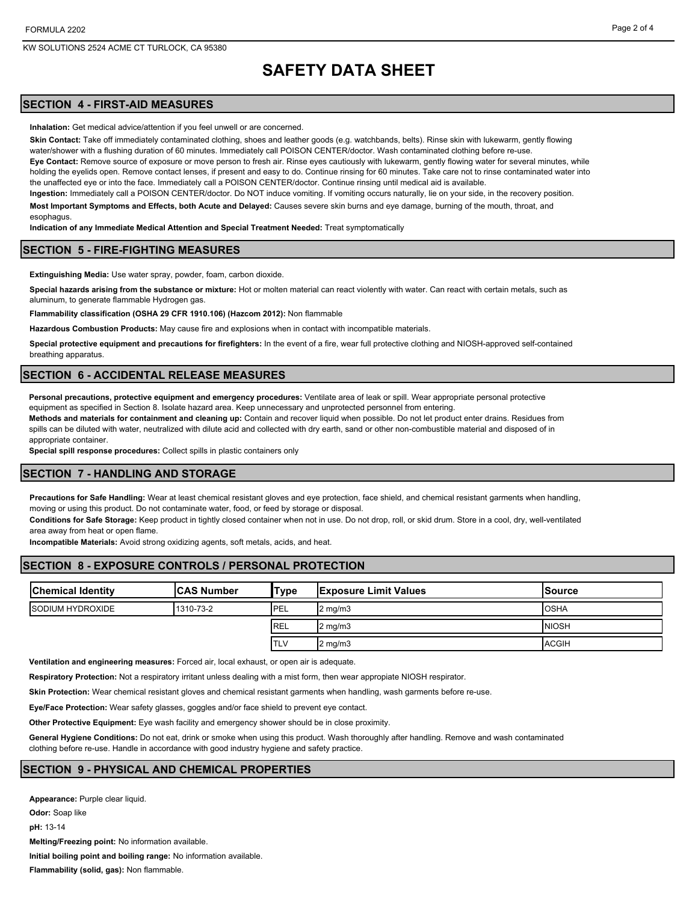esophagus.

#### Page 2 of 4

# **SAFETY DATA SHEET**

# **SECTION 4 - FIRST-AID MEASURES**

**Inhalation:** Get medical advice/attention if you feel unwell or are concerned.

**Skin Contact:** Take off immediately contaminated clothing, shoes and leather goods (e.g. watchbands, belts). Rinse skin with lukewarm, gently flowing water/shower with a flushing duration of 60 minutes. Immediately call POISON CENTER/doctor. Wash contaminated clothing before re-use. **Eye Contact:** Remove source of exposure or move person to fresh air. Rinse eyes cautiously with lukewarm, gently flowing water for several minutes, while holding the evelids open. Remove contact lenses, if present and easy to do. Continue rinsing for 60 minutes. Take care not to rinse contaminated water into the unaffected eye or into the face. Immediately call a POISON CENTER/doctor. Continue rinsing until medical aid is available.

**Ingestion:** Immediately call a POISON CENTER/doctor. Do NOT induce vomiting. If vomiting occurs naturally, lie on your side, in the recovery position. **Most Important Symptoms and Effects, both Acute and Delayed:** Causes severe skin burns and eye damage, burning of the mouth, throat, and

**Indication of any Immediate Medical Attention and Special Treatment Needed:** Treat symptomatically

## **SECTION 5 - FIRE-FIGHTING MEASURES**

**Extinguishing Media:** Use water spray, powder, foam, carbon dioxide.

**Special hazards arising from the substance or mixture:** Hot or molten material can react violently with water. Can react with certain metals, such as aluminum, to generate flammable Hydrogen gas.

**Flammability classification (OSHA 29 CFR 1910.106) (Hazcom 2012):** Non flammable

**Hazardous Combustion Products:** May cause fire and explosions when in contact with incompatible materials.

**Special protective equipment and precautions for firefighters:** In the event of a fire, wear full protective clothing and NIOSH-approved self-contained breathing apparatus.

## **SECTION 6 - ACCIDENTAL RELEASE MEASURES**

**Personal precautions, protective equipment and emergency procedures:** Ventilate area of leak or spill. Wear appropriate personal protective equipment as specified in Section 8. Isolate hazard area. Keep unnecessary and unprotected personnel from entering.

**Methods and materials for containment and cleaning up:** Contain and recover liquid when possible. Do not let product enter drains. Residues from spills can be diluted with water, neutralized with dilute acid and collected with dry earth, sand or other non-combustible material and disposed of in appropriate container.

**Special spill response procedures:** Collect spills in plastic containers only

## **SECTION 7 - HANDLING AND STORAGE**

**Precautions for Safe Handling:** Wear at least chemical resistant gloves and eye protection, face shield, and chemical resistant garments when handling, moving or using this product. Do not contaminate water, food, or feed by storage or disposal.

**Conditions for Safe Storage:** Keep product in tightly closed container when not in use. Do not drop, roll, or skid drum. Store in a cool, dry, well-ventilated

area away from heat or open flame.

**Incompatible Materials:** Avoid strong oxidizing agents, soft metals, acids, and heat.

# **SECTION 8 - EXPOSURE CONTROLS / PERSONAL PROTECTION**

| <b>Chemical Identity</b> | <b>CAS Number</b> | 'Type       | <b>Exposure Limit Values</b> | lSource      |
|--------------------------|-------------------|-------------|------------------------------|--------------|
| <b>ISODIUM HYDROXIDE</b> | 1310-73-2         | <b>IPEL</b> | $2 \text{ mg/m}$             | <b>OSHA</b>  |
|                          |                   | <b>REL</b>  | $2 \text{ mg/m}$             | <b>NIOSH</b> |
|                          |                   | <b>TLV</b>  | $2 \text{ mg/m}$             | <b>ACGIH</b> |

**Ventilation and engineering measures:** Forced air, local exhaust, or open air is adequate.

**Respiratory Protection:** Not a respiratory irritant unless dealing with a mist form, then wear appropiate NIOSH respirator.

**Skin Protection:** Wear chemical resistant gloves and chemical resistant garments when handling, wash garments before re-use.

**Eye/Face Protection:** Wear safety glasses, goggles and/or face shield to prevent eye contact.

**Other Protective Equipment:** Eye wash facility and emergency shower should be in close proximity.

**General Hygiene Conditions:** Do not eat, drink or smoke when using this product. Wash thoroughly after handling. Remove and wash contaminated clothing before re-use. Handle in accordance with good industry hygiene and safety practice.

## **SECTION 9 - PHYSICAL AND CHEMICAL PROPERTIES**

**Appearance:** Purple clear liquid. **Odor:** Soap like **pH:** 13-14 **Melting/Freezing point:** No information available. **Initial boiling point and boiling range:** No information available. **Flammability (solid, gas):** Non flammable.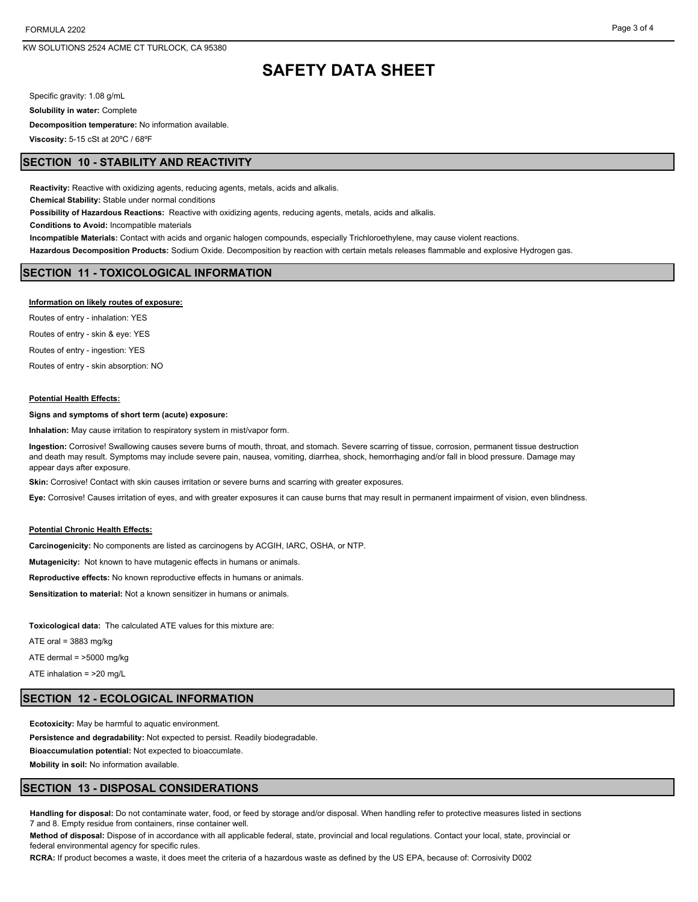KW SOLUTIONS 2524 ACME CT TURLOCK, CA 95380

# **SAFETY DATA SHEET**

Specific gravity: 1.08 g/mL

**Solubility in water:** Complete

**Decomposition temperature:** No information available.

**Viscosity:** 5-15 cSt at 20ºC / 68ºF

## **SECTION 10 - STABILITY AND REACTIVITY**

**Reactivity:** Reactive with oxidizing agents, reducing agents, metals, acids and alkalis.

**Chemical Stability:** Stable under normal conditions

**Possibility of Hazardous Reactions:** Reactive with oxidizing agents, reducing agents, metals, acids and alkalis.

**Conditions to Avoid:** Incompatible materials

**Incompatible Materials:** Contact with acids and organic halogen compounds, especially Trichloroethylene, may cause violent reactions.

**Hazardous Decomposition Products:** Sodium Oxide. Decomposition by reaction with certain metals releases flammable and explosive Hydrogen gas.

## **SECTION 11 - TOXICOLOGICAL INFORMATION**

#### **Information on likely routes of exposure:**

Routes of entry - inhalation: YES Routes of entry - skin & eye: YES

Routes of entry - ingestion: YES

Routes of entry - skin absorption: NO

#### **Potential Health Effects:**

#### **Signs and symptoms of short term (acute) exposure:**

**Inhalation:** May cause irritation to respiratory system in mist/vapor form.

**Ingestion:** Corrosive! Swallowing causes severe burns of mouth, throat, and stomach. Severe scarring of tissue, corrosion, permanent tissue destruction and death may result. Symptoms may include severe pain, nausea, vomiting, diarrhea, shock, hemorrhaging and/or fall in blood pressure. Damage may appear days after exposure.

**Skin:** Corrosive! Contact with skin causes irritation or severe burns and scarring with greater exposures.

**Eye:** Corrosive! Causes irritation of eyes, and with greater exposures it can cause burns that may result in permanent impairment of vision, even blindness.

#### **Potential Chronic Health Effects:**

**Carcinogenicity:** No components are listed as carcinogens by ACGIH, IARC, OSHA, or NTP.

**Mutagenicity:** Not known to have mutagenic effects in humans or animals.

**Reproductive effects:** No known reproductive effects in humans or animals.

**Sensitization to material:** Not a known sensitizer in humans or animals.

**Toxicological data:** The calculated ATE values for this mixture are:

ATE oral =  $3883$  mg/kg

ATE dermal = >5000 mg/kg

ATE inhalation = >20 mg/L

## **SECTION 12 - ECOLOGICAL INFORMATION**

**Ecotoxicity:** May be harmful to aquatic environment.

**Persistence and degradability:** Not expected to persist. Readily biodegradable.

**Bioaccumulation potential:** Not expected to bioaccumlate.

**Mobility in soil:** No information available.

## **SECTION 13 - DISPOSAL CONSIDERATIONS**

**Handling for disposal:** Do not contaminate water, food, or feed by storage and/or disposal. When handling refer to protective measures listed in sections 7 and 8. Empty residue from containers, rinse container well.

**Method of disposal:** Dispose of in accordance with all applicable federal, state, provincial and local regulations. Contact your local, state, provincial or federal environmental agency for specific rules.

**RCRA:** If product becomes a waste, it does meet the criteria of a hazardous waste as defined by the US EPA, because of: Corrosivity D002